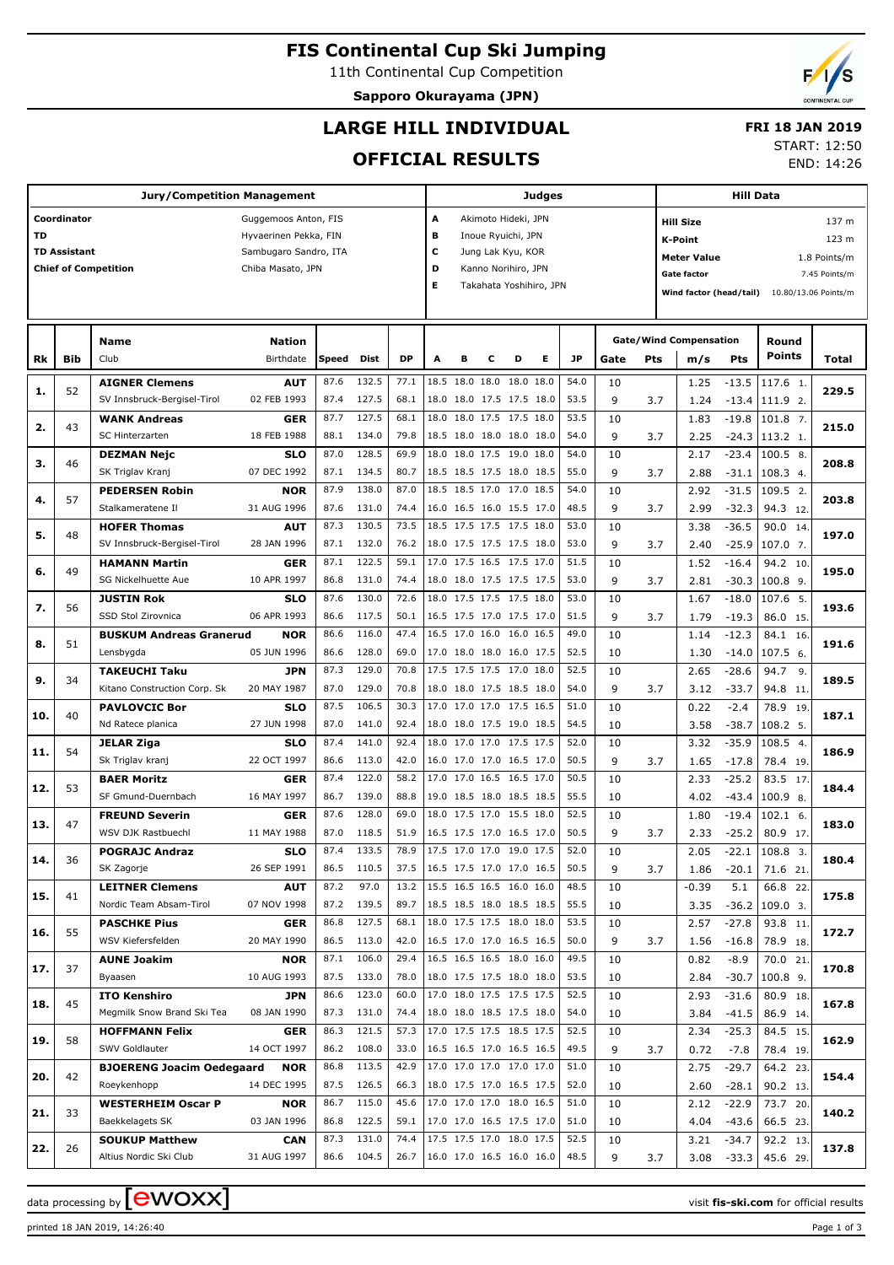# **FIS Continental Cup Ski Jumping**

11th Continental Cup Competition

**Sapporo Okurayama (JPN)**

# **LARGE HILL INDIVIDUAL**

## **FRI 18 JAN 2019**

## **OFFICIAL RESULTS**

START: 12:50

END: 14:26

|     |                     | <b>Jury/Competition Management</b> |                       |       |       |           |                               |   |                          |   | <b>Judges</b> |           |      |     |                               | <b>Hill Data</b> |                    |                      |
|-----|---------------------|------------------------------------|-----------------------|-------|-------|-----------|-------------------------------|---|--------------------------|---|---------------|-----------|------|-----|-------------------------------|------------------|--------------------|----------------------|
|     | Coordinator         |                                    | Guggemoos Anton, FIS  |       |       |           | A                             |   | Akimoto Hideki, JPN      |   |               |           |      |     | <b>Hill Size</b>              |                  |                    | 137 m                |
| TD  |                     |                                    | Hyvaerinen Pekka, FIN |       |       |           | в                             |   | Inoue Ryuichi, JPN       |   |               |           |      |     |                               |                  |                    |                      |
|     | <b>TD Assistant</b> |                                    | Sambugaro Sandro, ITA |       |       |           | c                             |   | Jung Lak Kyu, KOR        |   |               |           |      |     | K-Point                       |                  |                    | 123 m                |
|     |                     | <b>Chief of Competition</b>        | Chiba Masato, JPN     |       |       |           | D                             |   | Kanno Norihiro, JPN      |   |               |           |      |     | <b>Meter Value</b>            |                  |                    | 1.8 Points/m         |
|     |                     |                                    |                       |       |       |           | Е                             |   | Takahata Yoshihiro, JPN  |   |               |           |      |     | <b>Gate factor</b>            |                  |                    | 7.45 Points/m        |
|     |                     |                                    |                       |       |       |           |                               |   |                          |   |               |           |      |     | Wind factor (head/tail)       |                  |                    | 10.80/13.06 Points/m |
|     |                     |                                    |                       |       |       |           |                               |   |                          |   |               |           |      |     |                               |                  |                    |                      |
|     |                     |                                    |                       |       |       |           |                               |   |                          |   |               |           |      |     |                               |                  |                    |                      |
|     |                     | <b>Name</b>                        | <b>Nation</b>         |       |       |           |                               |   |                          |   |               |           |      |     | <b>Gate/Wind Compensation</b> |                  | Round              |                      |
| Rk  | <b>Bib</b>          | Club                               | Birthdate             | Speed | Dist  | <b>DP</b> | A                             | в | с                        | D | Е             | <b>JP</b> | Gate | Pts | m/s                           | <b>Pts</b>       | <b>Points</b>      | Total                |
|     |                     | <b>AIGNER Clemens</b>              | <b>AUT</b>            | 87.6  | 132.5 | 77.1      |                               |   | 18.5 18.0 18.0 18.0 18.0 |   |               | 54.0      | 10   |     | 1.25                          | $-13.5$          | 117.6 1.           |                      |
| 1.  | 52                  | SV Innsbruck-Bergisel-Tirol        | 02 FEB 1993           | 87.4  | 127.5 | 68.1      |                               |   | 18.0 18.0 17.5 17.5 18.0 |   |               | 53.5      | 9    | 3.7 | 1.24                          | $-13.4$          | 111.9 2.           | 229.5                |
|     |                     | <b>WANK Andreas</b>                | <b>GER</b>            | 87.7  | 127.5 | 68.1      |                               |   | 18.0 18.0 17.5 17.5 18.0 |   |               | 53.5      | 10   |     | 1.83                          | $-19.8$          | 101.8 7.           |                      |
| 2.  | 43                  | <b>SC Hinterzarten</b>             | 18 FEB 1988           | 88.1  | 134.0 | 79.8      |                               |   | 18.5 18.0 18.0 18.0 18.0 |   |               | 54.0      | 9    |     |                               |                  |                    | 215.0                |
|     |                     |                                    |                       |       |       |           |                               |   |                          |   |               |           |      | 3.7 | 2.25                          |                  | $-24.3$   113.2 1. |                      |
| з.  | 46                  | <b>DEZMAN Nejc</b>                 | <b>SLO</b>            | 87.0  | 128.5 | 69.9      |                               |   | 18.0 18.0 17.5 19.0 18.0 |   |               | 54.0      | 10   |     | 2.17                          | $-23.4$          | 100.5 8.           | 208.8                |
|     |                     | SK Triglav Kranj                   | 07 DEC 1992           | 87.1  | 134.5 | 80.7      |                               |   | 18.5 18.5 17.5 18.0 18.5 |   |               | 55.0      | 9    | 3.7 | 2.88                          | $-31.1$          | 108.3 4.           |                      |
| 4.  | 57                  | <b>PEDERSEN Robin</b>              | <b>NOR</b>            | 87.9  | 138.0 | 87.0      |                               |   | 18.5 18.5 17.0 17.0 18.5 |   |               | 54.0      | 10   |     | 2.92                          | $-31.5$          | 109.5 2.           | 203.8                |
|     |                     | Stalkameratene Il                  | 31 AUG 1996           | 87.6  | 131.0 | 74.4      |                               |   | 16.0 16.5 16.0 15.5 17.0 |   |               | 48.5      | 9    | 3.7 | 2.99                          | $-32.3$          | 94.3 12.           |                      |
| 5.  | 48                  | <b>HOFER Thomas</b>                | <b>AUT</b>            | 87.3  | 130.5 | 73.5      |                               |   | 18.5 17.5 17.5 17.5 18.0 |   |               | 53.0      | 10   |     | 3.38                          | $-36.5$          | 90.0 14.           | 197.0                |
|     |                     | SV Innsbruck-Bergisel-Tirol        | 28 JAN 1996           | 87.1  | 132.0 | 76.2      |                               |   | 18.0 17.5 17.5 17.5 18.0 |   |               | 53.0      | 9    | 3.7 | 2.40                          | $-25.9$          | 107.0 7.           |                      |
|     |                     | <b>HAMANN Martin</b>               | <b>GER</b>            | 87.1  | 122.5 | 59.1      |                               |   | 17.0 17.5 16.5 17.5 17.0 |   |               | 51.5      | 10   |     | 1.52                          | $-16.4$          | 94.2 10.           |                      |
| 6.  | 49                  | SG Nickelhuette Aue                | 10 APR 1997           | 86.8  | 131.0 | 74.4      |                               |   | 18.0 18.0 17.5 17.5 17.5 |   |               | 53.0      | 9    | 3.7 | 2.81                          | $-30.3$          | $100.8$ 9.         | 195.0                |
|     |                     | <b>JUSTIN Rok</b>                  | SLO                   | 87.6  | 130.0 | 72.6      |                               |   | 18.0 17.5 17.5 17.5 18.0 |   |               | 53.0      | 10   |     | 1.67                          | $-18.0$          | 107.6 5.           |                      |
| 7.  | 56                  | SSD Stol Zirovnica                 | 06 APR 1993           | 86.6  | 117.5 | 50.1      |                               |   | 16.5 17.5 17.0 17.5 17.0 |   |               | 51.5      | 9    | 3.7 | 1.79                          | $-19.3$          | 86.0 15.           | 193.6                |
|     |                     | <b>BUSKUM Andreas Granerud</b>     | <b>NOR</b>            | 86.6  | 116.0 | 47.4      |                               |   | 16.5 17.0 16.0 16.0 16.5 |   |               | 49.0      | 10   |     | 1.14                          | $-12.3$          | 84.1 16.           |                      |
| 8.  | 51                  | Lensbygda                          | 05 JUN 1996           | 86.6  | 128.0 | 69.0      |                               |   | 17.0 18.0 18.0 16.0 17.5 |   |               | 52.5      | 10   |     | 1.30                          | $-14.0$          | 107.5 6.           | 191.6                |
|     |                     | <b>TAKEUCHI Taku</b>               | JPN                   | 87.3  | 129.0 | 70.8      |                               |   | 17.5 17.5 17.5 17.0 18.0 |   |               | 52.5      | 10   |     | 2.65                          | $-28.6$          | 94.7<br>9.         |                      |
| 9.  | 34                  | Kitano Construction Corp. Sk       | 20 MAY 1987           | 87.0  | 129.0 | 70.8      |                               |   | 18.0 18.0 17.5 18.5 18.0 |   |               | 54.0      | 9    |     |                               |                  |                    | 189.5                |
|     |                     |                                    |                       |       |       |           |                               |   |                          |   |               |           |      | 3.7 | 3.12                          | $-33.7$          | 94.8 11            |                      |
| 10. | 40                  | <b>PAVLOVCIC Bor</b>               | <b>SLO</b>            | 87.5  | 106.5 | 30.3      |                               |   | 17.0 17.0 17.0 17.5 16.5 |   |               | 51.0      | 10   |     | 0.22                          | $-2.4$           | 78.9 19.           | 187.1                |
|     |                     | Nd Ratece planica                  | 27 JUN 1998           | 87.0  | 141.0 | 92.4      |                               |   | 18.0 18.0 17.5 19.0 18.5 |   |               | 54.5      | 10   |     | 3.58                          | $-38.7$          | 108.2 5.           |                      |
| 11. | 54                  | <b>JELAR Ziga</b>                  | <b>SLO</b>            | 87.4  | 141.0 | 92.4      |                               |   | 18.0 17.0 17.0 17.5 17.5 |   |               | 52.0      | 10   |     | 3.32                          | $-35.9$          | 108.5 4.           | 186.9                |
|     |                     | Sk Triglav kranj                   | 22 OCT 1997           | 86.6  | 113.0 | 42.0      |                               |   | 16.0 17.0 17.0 16.5 17.0 |   |               | 50.5      | 9    | 3.7 | 1.65                          | $-17.8$          | 78.4 19            |                      |
| 12. | 53                  | <b>BAER Moritz</b>                 | <b>GER</b>            | 87.4  | 122.0 | 58.2      |                               |   | 17.0 17.0 16.5 16.5 17.0 |   |               | 50.5      | 10   |     | 2.33                          | $-25.2$          | 83.5 17            | 184.4                |
|     |                     | SF Gmund-Duernbach                 | 16 MAY 1997           | 86.7  | 139.0 | 88.8      |                               |   | 19.0 18.5 18.0 18.5 18.5 |   |               | 55.5      | 10   |     | 4.02                          | $-43.4$          | $100.9$ 8.         |                      |
|     | 47                  | <b>FREUND Severin</b>              | <b>GER</b>            | 87.6  | 128.0 | 69.0      |                               |   | 18.0 17.5 17.0 15.5 18.0 |   |               | 52.5      | 10   |     | 1.80                          | $-19.4$          | $102.1$ 6.         | 183.0                |
| 13. |                     | WSV DJK Rastbuechl                 | 11 MAY 1988           | 87.0  | 118.5 | 51.9      | 16.5 17.5 17.0 16.5 17.0      |   |                          |   |               | 50.5      | 9    | 3.7 | 2.33                          | $-25.2$          | 80.9 17.           |                      |
|     |                     | POGRAJC Andraz                     | SLO                   | 87.4  | 133.5 |           | 78.9 17.5 17.0 17.0 19.0 17.5 |   |                          |   |               | 52.0      | 10   |     | 2.05                          | $-22.1$          | $108.8$ 3.         |                      |
| 14. | 36                  | SK Zagorje                         | 26 SEP 1991           | 86.5  | 110.5 | 37.5      | 16.5 17.5 17.0 17.0 16.5      |   |                          |   |               | 50.5      | 9    | 3.7 | 1.86                          | $-20.1$          | 71.6 21.           | 180.4                |
|     |                     | <b>LEITNER Clemens</b>             | <b>AUT</b>            | 87.2  | 97.0  | 13.2      | 15.5 16.5 16.5 16.0 16.0      |   |                          |   |               | 48.5      | 10   |     | $-0.39$                       | 5.1              | 66.8 22.           |                      |
| 15. | 41                  | Nordic Team Absam-Tirol            | 07 NOV 1998           | 87.2  | 139.5 | 89.7      | 18.5 18.5 18.0 18.5 18.5      |   |                          |   |               | 55.5      | 10   |     | 3.35                          | $-36.2$          | $109.03$ .         | 175.8                |
|     |                     | <b>PASCHKE Pius</b>                | GER                   | 86.8  | 127.5 | 68.1      |                               |   | 18.0 17.5 17.5 18.0 18.0 |   |               | 53.5      | 10   |     | 2.57                          | $-27.8$          | 93.8 11.           |                      |
| 16. | 55                  | WSV Kiefersfelden                  | 20 MAY 1990           | 86.5  | 113.0 | 42.0      | 16.5 17.0 17.0 16.5 16.5      |   |                          |   |               | 50.0      | 9    | 3.7 | 1.56                          | $-16.8$          | 78.9 18.           | 172.7                |
|     |                     |                                    |                       | 87.1  | 106.0 | 29.4      |                               |   | 16.5 16.5 16.5 18.0 16.0 |   |               | 49.5      |      |     |                               |                  |                    |                      |
| 17. | 37                  | <b>AUNE Joakim</b>                 | NOR                   |       |       |           |                               |   |                          |   |               |           | 10   |     | 0.82                          | $-8.9$           | 70.0 21.           | 170.8                |
|     |                     | Byaasen                            | 10 AUG 1993           | 87.5  | 133.0 | 78.0      | 18.0 17.5 17.5 18.0 18.0      |   |                          |   |               | 53.5      | 10   |     | 2.84                          | $-30.7$          | 100.8 9.           |                      |
| 18. | 45                  | <b>ITO Kenshiro</b>                | JPN                   | 86.6  | 123.0 | 60.0      |                               |   | 17.0 18.0 17.5 17.5 17.5 |   |               | 52.5      | 10   |     | 2.93                          | $-31.6$          | 80.9 18.           | 167.8                |
|     |                     | Megmilk Snow Brand Ski Tea         | 08 JAN 1990           | 87.3  | 131.0 | 74.4      | 18.0 18.0 18.5 17.5 18.0      |   |                          |   |               | 54.0      | 10   |     | 3.84                          | $-41.5$          | 86.9 14.           |                      |
| 19. | 58                  | <b>HOFFMANN Felix</b>              | GER                   | 86.3  | 121.5 | 57.3      |                               |   | 17.0 17.5 17.5 18.5 17.5 |   |               | 52.5      | 10   |     | 2.34                          | $-25.3$          | 84.5 15.           | 162.9                |
|     |                     | SWV Goldlauter                     | 14 OCT 1997           | 86.2  | 108.0 | 33.0      | 16.5 16.5 17.0 16.5 16.5      |   |                          |   |               | 49.5      | 9    | 3.7 | 0.72                          | $-7.8$           | 78.4 19.           |                      |
| 20. | 42                  | <b>BJOERENG Joacim Oedegaard</b>   | <b>NOR</b>            | 86.8  | 113.5 | 42.9      |                               |   | 17.0 17.0 17.0 17.0 17.0 |   |               | 51.0      | 10   |     | 2.75                          | $-29.7$          | 64.2 23.           | 154.4                |
|     |                     | Roeykenhopp                        | 14 DEC 1995           | 87.5  | 126.5 | 66.3      | 18.0 17.5 17.0 16.5 17.5      |   |                          |   |               | 52.0      | 10   |     | 2.60                          | $-28.1$          | 90.2 13.           |                      |
|     |                     | <b>WESTERHEIM Oscar P</b>          | NOR                   | 86.7  | 115.0 | 45.6      | 17.0 17.0 17.0 18.0 16.5      |   |                          |   |               | 51.0      | 10   |     | 2.12                          | $-22.9$          | 73.7 20.           |                      |
| 21. | 33                  | Baekkelagets SK                    | 03 JAN 1996           | 86.8  | 122.5 | 59.1      | 17.0 17.0 16.5 17.5 17.0      |   |                          |   |               | 51.0      | 10   |     | 4.04                          | $-43.6$          | 66.5 23.           | 140.2                |
|     |                     | <b>SOUKUP Matthew</b>              | <b>CAN</b>            | 87.3  | 131.0 | 74.4      |                               |   | 17.5 17.5 17.0 18.0 17.5 |   |               | 52.5      | 10   |     | 3.21                          | $-34.7$          | 92.2 13.           |                      |
| 22. | 26                  | Altius Nordic Ski Club             | 31 AUG 1997           | 86.6  | 104.5 |           | 26.7 16.0 17.0 16.5 16.0 16.0 |   |                          |   |               | 48.5      | 9    | 3.7 | 3.08                          |                  | $-33.3$   45.6 29. | 137.8                |

data processing by **CWOXX** and  $\overline{C}$  and  $\overline{C}$  and  $\overline{C}$  and  $\overline{C}$  and  $\overline{C}$  and  $\overline{C}$  and  $\overline{C}$  and  $\overline{C}$  and  $\overline{C}$  and  $\overline{C}$  and  $\overline{C}$  and  $\overline{C}$  and  $\overline{C}$  and  $\overline{C}$  and  $\overline{C}$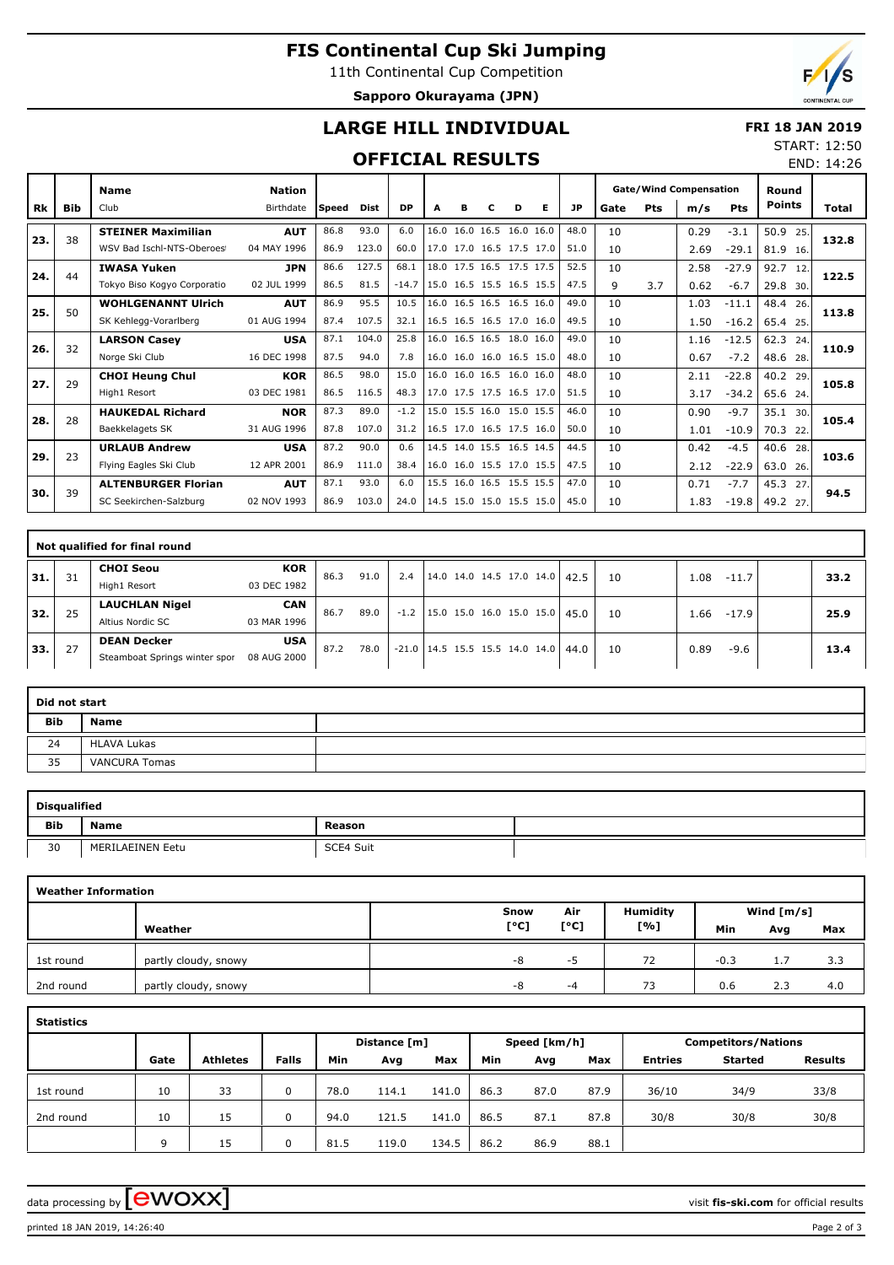## **FIS Continental Cup Ski Jumping**

11th Continental Cup Competition **Sapporo Okurayama (JPN)**



END: 14:26

# **LARGE HILL INDIVIDUAL**

### **FRI 18 JAN 2019** START: 12:50

## **OFFICIAL RESULTS**

|     |            | <b>Name</b>                 | <b>Nation</b> |       |       |           |      |   |                          |   |                          |           |      |     | <b>Gate/Wind Compensation</b> |            | Round         |       |
|-----|------------|-----------------------------|---------------|-------|-------|-----------|------|---|--------------------------|---|--------------------------|-----------|------|-----|-------------------------------|------------|---------------|-------|
| Rk  | <b>Bib</b> | Club                        | Birthdate     | Speed | Dist  | <b>DP</b> | A    | в | с                        | D | Е                        | <b>JP</b> | Gate | Pts | m/s                           | <b>Pts</b> | <b>Points</b> | Total |
|     | 38         | <b>STEINER Maximilian</b>   | <b>AUT</b>    | 86.8  | 93.0  | 6.0       | 16.0 |   | 16.0 16.5 16.0 16.0      |   |                          | 48.0      | 10   |     | 0.29                          | $-3.1$     | 50.9<br>25.   |       |
| 23. |            | WSV Bad Ischl-NTS-Oberoes   | 04 MAY 1996   | 86.9  | 123.0 | 60.0      |      |   | 17.0 17.0 16.5 17.5 17.0 |   |                          | 51.0      | 10   |     | 2.69                          | $-29.1$    | 81.9<br>16.   | 132.8 |
| 24. | 44         | <b>IWASA Yuken</b>          | <b>JPN</b>    | 86.6  | 127.5 | 68.1      |      |   | 18.0 17.5 16.5 17.5 17.5 |   |                          | 52.5      | 10   |     | 2.58                          | $-27.9$    | 92.7<br>12.   | 122.5 |
|     |            | Tokyo Biso Kogyo Corporatio | 02 JUL 1999   | 86.5  | 81.5  | $-14.7$   |      |   | 15.0 16.5 15.5 16.5 15.5 |   |                          | 47.5      | 9    | 3.7 | 0.62                          | $-6.7$     | 29.8<br>30.   |       |
| 25. | 50         | <b>WOHLGENANNT Ulrich</b>   | <b>AUT</b>    | 86.9  | 95.5  | 10.5      |      |   | 16.0 16.5 16.5 16.5 16.0 |   |                          | 49.0      | 10   |     | 1.03                          | $-11.1$    | 48.4<br>26.   | 113.8 |
|     |            | SK Kehlegg-Vorarlberg       | 01 AUG 1994   | 87.4  | 107.5 | 32.1      |      |   | 16.5 16.5 16.5 17.0 16.0 |   |                          | 49.5      | 10   |     | 1.50                          | $-16.2$    | 65.4 25.      |       |
| 26. | 32         | <b>LARSON Casey</b>         | <b>USA</b>    | 87.1  | 104.0 | 25.8      |      |   | 16.0 16.5 16.5 18.0 16.0 |   |                          | 49.0      | 10   |     | 1.16                          | $-12.5$    | 62.3<br>24    | 110.9 |
|     |            | Norge Ski Club              | 16 DEC 1998   | 87.5  | 94.0  | 7.8       |      |   | 16.0 16.0 16.0 16.5 15.0 |   |                          | 48.0      | 10   |     | 0.67                          | $-7.2$     | 48.6<br>28.   |       |
| 27. | 29         | <b>CHOI Heung Chul</b>      | <b>KOR</b>    | 86.5  | 98.0  | 15.0      |      |   | 16.0 16.0 16.5 16.0 16.0 |   |                          | 48.0      | 10   |     | 2.11                          | $-22.8$    | 40.2<br>29.   | 105.8 |
|     |            | High1 Resort                | 03 DEC 1981   | 86.5  | 116.5 | 48.3      |      |   | 17.0 17.5 17.5 16.5 17.0 |   |                          | 51.5      | 10   |     | 3.17                          | $-34.2$    | 65.6 24.      |       |
| 28. | 28         | <b>HAUKEDAL Richard</b>     | <b>NOR</b>    | 87.3  | 89.0  | $-1.2$    |      |   | 15.0 15.5 16.0 15.0 15.5 |   |                          | 46.0      | 10   |     | 0.90                          | $-9.7$     | 35.1 30.      | 105.4 |
|     |            | Baekkelagets SK             | 31 AUG 1996   | 87.8  | 107.0 | 31.2      |      |   | 16.5 17.0 16.5 17.5 16.0 |   |                          | 50.0      | 10   |     | 1.01                          | $-10.9$    | 70.3<br>22.   |       |
| 29. | 23         | <b>URLAUB Andrew</b>        | <b>USA</b>    | 87.2  | 90.0  | 0.6       |      |   | 14.5 14.0 15.5 16.5 14.5 |   |                          | 44.5      | 10   |     | 0.42                          | $-4.5$     | 40.6<br>28    | 103.6 |
|     |            | Flying Eagles Ski Club      | 12 APR 2001   | 86.9  | 111.0 | 38.4      |      |   | 16.0 16.0 15.5 17.0 15.5 |   |                          | 47.5      | 10   |     | 2.12                          | $-22.9$    | 63.0<br>26.   |       |
| 30. | 39         | <b>ALTENBURGER Florian</b>  | <b>AUT</b>    | 87.1  | 93.0  | 6.0       |      |   | 15.5 16.0 16.5 15.5 15.5 |   |                          | 47.0      | 10   |     | 0.71                          | $-7.7$     | 45.3<br>27    | 94.5  |
|     |            | SC Seekirchen-Salzburg      | 02 NOV 1993   | 86.9  | 103.0 | 24.0      |      |   |                          |   | 14.5 15.0 15.0 15.5 15.0 | 45.0      | 10   |     | 1.83                          | $-19.8$    | 49.2 27.      |       |

|     |    | Not qualified for final round |             |      |      |        |                                       |  |  |    |      |         |      |
|-----|----|-------------------------------|-------------|------|------|--------|---------------------------------------|--|--|----|------|---------|------|
| 31. | 31 | <b>CHOI Seou</b>              | <b>KOR</b>  | 86.3 | 91.0 | 2.4    | $14.0$ 14.0 14.5 17.0 14.0 42.5       |  |  | 10 | 1.08 | $-11.7$ | 33.2 |
|     |    | High1 Resort                  | 03 DEC 1982 |      |      |        |                                       |  |  |    |      |         |      |
| 32. | 25 | <b>LAUCHLAN Nigel</b>         | <b>CAN</b>  | 86.7 | 89.0 | $-1.2$ | 15.0 15.0 16.0 15.0 15.0   45.0       |  |  | 10 | 1.66 | $-17.9$ | 25.9 |
|     |    | Altius Nordic SC              | 03 MAR 1996 |      |      |        |                                       |  |  |    |      |         |      |
| 33. | 27 | <b>DEAN Decker</b>            | <b>USA</b>  | 87.2 | 78.0 |        | $-21.0$ 14.5 15.5 15.5 14.0 14.0 44.0 |  |  | 10 | 0.89 | $-9.6$  | 13.4 |
|     |    | Steamboat Springs winter spor | 08 AUG 2000 |      |      |        |                                       |  |  |    |      |         |      |

| Did not start |                      |  |
|---------------|----------------------|--|
| <b>Bib</b>    | Name                 |  |
| 24            | <b>HLAVA Lukas</b>   |  |
| 35            | <b>VANCURA Tomas</b> |  |

| <b>Disqualified</b> |                  |           |  |
|---------------------|------------------|-----------|--|
| <b>Bib</b>          | Name             | Reason    |  |
| 30                  | MERILAEINEN Eetu | SCE4 Suit |  |

| <b>Weather Information</b> |                      |      |      |                 |        |              |     |
|----------------------------|----------------------|------|------|-----------------|--------|--------------|-----|
|                            |                      | Snow | Air  | <b>Humidity</b> |        | Wind $[m/s]$ |     |
|                            | Weather              | [°C] | [°C] | [%]             | Min    | Avg          | Max |
| 1st round                  | partly cloudy, snowy | -8   | כ-   | 72              | $-0.3$ | 1.7          | 3.3 |
| 2nd round                  | partly cloudy, snowy | -8   | -4   | 73              | 0.6    | 2.3          | 4.0 |

| <b>Statistics</b> |      |                 |              |      |              |       |      |              |      |                |                            |                |
|-------------------|------|-----------------|--------------|------|--------------|-------|------|--------------|------|----------------|----------------------------|----------------|
|                   |      |                 |              |      | Distance [m] |       |      | Speed [km/h] |      |                | <b>Competitors/Nations</b> |                |
|                   | Gate | <b>Athletes</b> | <b>Falls</b> | Min  | Avg          | Max   | Min  | Avg          | Max  | <b>Entries</b> | <b>Started</b>             | <b>Results</b> |
| 1st round         | 10   | 33              | 0            | 78.0 | 114.1        | 141.0 | 86.3 | 87.0         | 87.9 | 36/10          | 34/9                       | 33/8           |
| 2nd round         | 10   | 15              | 0            | 94.0 | 121.5        | 141.0 | 86.5 | 87.1         | 87.8 | 30/8           | 30/8                       | 30/8           |
|                   | q    | 15              | 0            | 81.5 | 119.0        | 134.5 | 86.2 | 86.9         | 88.1 |                |                            |                |

data processing by **CWOXX**  $\blacksquare$